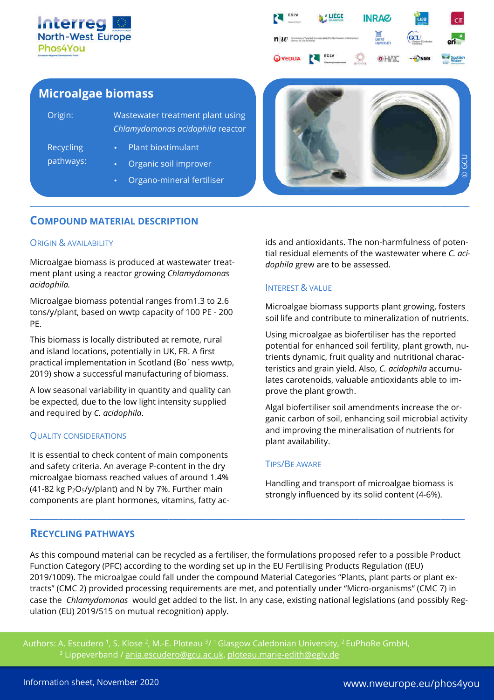



# **Microalgae biomass**

| Origin:                | <b>Wastewater treatment plant using</b><br>Chlamydomonas acidophila reactor |
|------------------------|-----------------------------------------------------------------------------|
| Recycling<br>pathways: | Plant biostimulant                                                          |
|                        | Organic soil improver                                                       |
|                        | Organo-mineral fertiliser                                                   |



# **COMPOUND MATERIAL DESCRIPTION**

### ORIGIN & AVAILABILITY

Microalgae biomass is produced at wastewater treatment plant using a reactor growing *Chlamydomonas acidophila.* 

Microalgae biomass potential ranges from1.3 to 2.6 tons/y/plant, based on wwtp capacity of 100 PE - 200 PE.

This biomass is locally distributed at remote, rural and island locations, potentially in UK, FR. A first practical implementation in Scotland (Bo´ness wwtp, 2019) show a successful manufacturing of biomass.

A low seasonal variability in quantity and quality can be expected, due to the low light intensity supplied and required by *C. acidophila*.

### QUALITY CONSIDERATIONS

It is essential to check content of main components and safety criteria. An average P-content in the dry microalgae biomass reached values of around 1.4% (41-82 kg  $P_2O_5$ /y/plant) and N by 7%. Further main components are plant hormones, vitamins, fatty acids and antioxidants. The non-harmfulness of potential residual elements of the wastewater where *C. acidophila* grew are to be assessed.

### INTEREST & VALUE

Microalgae biomass supports plant growing, fosters soil life and contribute to mineralization of nutrients.

Using microalgae as biofertiliser has the reported potential for enhanced soil fertility, plant growth, nutrients dynamic, fruit quality and nutritional characteristics and grain yield. Also, *C. acidophila* accumulates carotenoids, valuable antioxidants able to improve the plant growth.

Algal biofertiliser soil amendments increase the organic carbon of soil, enhancing soil microbial activity and improving the mineralisation of nutrients for plant availability.

### TIPS/BE AWARE

Handling and transport of microalgae biomass is strongly influenced by its solid content (4-6%).

# **RECYCLING PATHWAYS**

As this compound material can be recycled as a fertiliser, the formulations proposed refer to a possible Product Function Category (PFC) according to the wording set up in the EU Fertilising Products Regulation ((EU) 2019/1009). The microalgae could fall under the compound Material Categories "Plants, plant parts or plant extracts" (CMC 2) provided processing requirements are met, and potentially under "Micro-organisms" (CMC 7) in case the *Chlamydomonas* would get added to the list. In any case, existing national legislations (and possibly Regulation (EU) 2019/515 on mutual recognition) apply.

**\_\_\_\_\_\_\_\_\_\_\_\_\_\_\_\_\_\_\_\_\_\_\_\_\_\_\_\_\_\_\_\_\_\_\_\_\_\_\_\_\_\_\_\_\_\_\_\_\_\_\_\_\_\_\_\_\_\_\_\_\_\_\_\_\_\_\_\_\_\_\_\_\_\_\_\_\_\_\_\_\_\_\_\_\_\_\_\_\_\_\_**

Authors: A. Escudero <sup>1</sup>, S. Klose <sup>2</sup>, M.-E. Ploteau <sup>3</sup>/ <sup>1</sup> Glasgow Caledonian University, <sup>2</sup> EuPhoRe GmbH, <sup>3</sup> Lippeverband / <u>ania.escudero@gcu.ac.uk</u>, <u>ploteau.marie-edith@eglv.de</u>